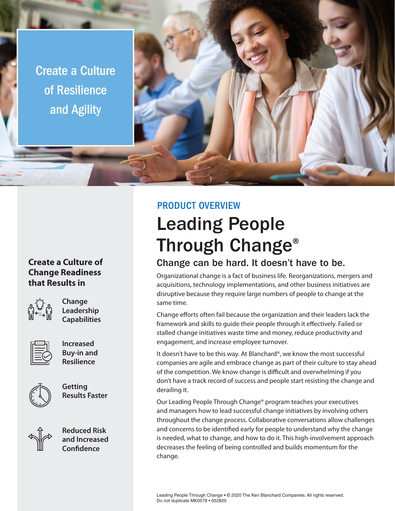Create a Culture of Resilience and Agility

## **Create a Culture of Change Readiness that Results in**



**Change Leadership Capabilities**



**Increased Buy-in and Resilience**



**Getting Results Faster**



**Reduced Risk and Increased Confidence**

## PRODUCT OVERVIEW

# Leading People Through Change®

## Change can be hard. It doesn't have to be.

Organizational change is a fact of business life. Reorganizations, mergers and acquisitions, technology implementations, and other business initiatives are disruptive because they require large numbers of people to change at the same time.

Change efforts often fail because the organization and their leaders lack the framework and skills to guide their people through it effectively. Failed or stalled change initiatives waste time and money, reduce productivity and engagement, and increase employee turnover.

It doesn't have to be this way. At Blanchard®, we know the most successful companies are agile and embrace change as part of their culture to stay ahead of the competition. We know change is difficult and overwhelming if you don't have a track record of success and people start resisting the change and derailing it.

Our Leading People Through Change® program teaches your executives and managers how to lead successful change initiatives by involving others throughout the change process. Collaborative conversations allow challenges and concerns to be identified early for people to understand why the change is needed, what to change, and how to do it. This high-involvement approach decreases the feeling of being controlled and builds momentum for the change.